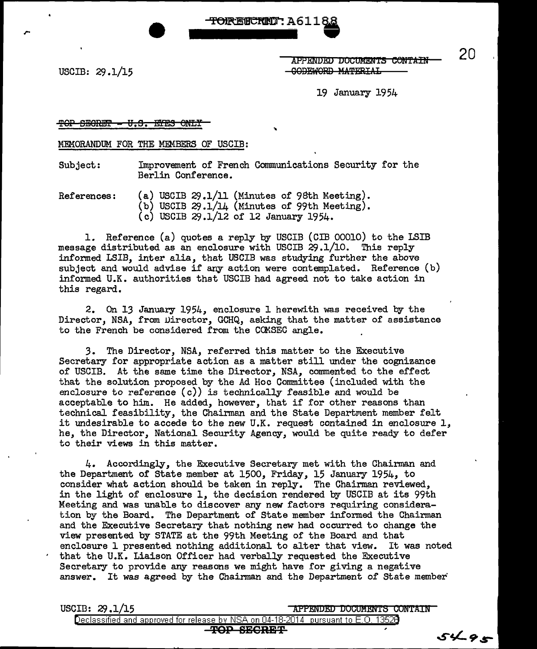<del>-TORESCRED</del> : A6118.

USCIB: 29.1/15

APPENDED DOCUMENTS CONTAIN -GODEWORD MATERIAL

l9 January 1954

#### TOP SEGRET - U.S. ETES ONLY

MEMORANDUM FOR THE MEMBERS OF USCIB:

Subject: Improvement of French Communications Security for the Berlin Conference.

References: (a) USCIB 29.1/11 (Minutes of 98th Meeting). (b) USCIB  $29.1/14$  (Minutes of 99th Meeting). (c) USCIB 29.1/12 of 12 January 1954.

1. Reference (a) quotes a reply by USCIB (CIB 00010) to the LSIB message distributed as an enclosure with USCIB 29.1/10. This reply informed LSIB, inter alia, that USCIB was studying further the above subject and would advise if any action were contemplated. Reference (b) informed U.K. authorities that USCIB had agreed not to take action in this regard.

2. On 13 January 1954, enclosure 1 herewith was received by the Director, NSA, from Director, GCHQ, asking that the matter of assistance to the French be considered from the COMSEC angle.

3. The Director, NSA, referred this matter to the Executive Secretary for appropriate action as a matter still under the cognizance of USCIB. At the same time the Director, NSA, commented to the effect that the solution proposed by the Ad Hoc Committee (included with the enclosure to reference  $(c)$ ) is technically feasible and would be acceptable to him. He added, however, that if for other reasons than technical feasibility, the Chairman and the State Department member felt it undesirable to accede to the new U.K. request contained in enclosure  $1,$ he, the Director, National Security Agency, would be quite ready to defer to their views in this matter.

4. Accordingly, the EKecutive Secretary met with the Chairman and the Department of State member at 1500, Friday, 15 January 1954, to consider what action should be taken in reply. The Chairman reviewed, in the light of enclosure 1, the decision rendered by USCIB at its 99th Meeting and was unable to discover any new factors requiring consideration by the Board. The Department of State member informed the Chairman and the Executive Secretary that nothing new had occurred to change the view presented by STATE at the 99th Meeting of the Board and that enclosure 1 presented nothing additional to alter that view. It was noted that the U.K. Liaison Officer had verbally requested the Executive Secretary to provide any reasons we might have for giving a negative answer. It was agreed by the Chairman and the Department of State member

USCIB: 29.1/15 **APPENDED DOCUMENTS CONTAIN** 

Declassified and approved for release by NSA on 04-18-2014 pursuant to E. 0. 1352B **'l'OP BEGRE'F** 

20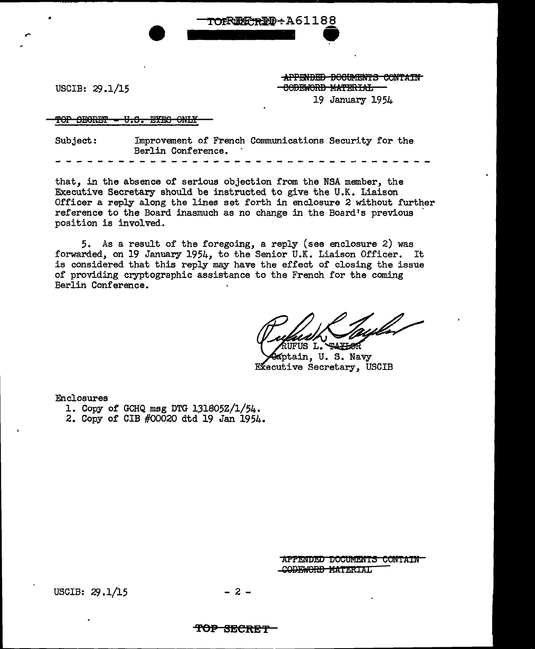USCIB: 29.1/15

•

APPENDED BOOTMENTS CONTAIN CODEWORD MATERIAL 19 January 1954

#### $\text{for } \text{sem} = 0.5$ . SYES ONLY

Subject: Improvement of French Communications Security for the Berlin Conference.

TOFRIEF RIE-A61188

that, in the absence of serious objection from the NSA member, the Executive Secretary should be instructed to give the U.K. Liaison Officer a reply along the lines set forth in enclosure 2 without further reference to the Board inasmuch as no change in the Board's previous position is involved.

5. As a result of the foregoing, a reply (see enclosure 2) was forwarded, on 19 January 1954, to the Senior U.K. Liaison Officer. It is considered that this reply may have the effect of closing the issue of providing cryptographic assistance to the French for the coming Berlin Conference.

*purale v*<br>RUFUS L. TAYBOR<br>Kaptain, U. S. Navy Executive Secretary, USCIB

Enclosures

1. Copy of GCHQ msg DTG 131805Z/l/54.

2. Copy of CIB #00020 dtd 19 Jan 1954.

APPENDED DOCUMENTS CONTAIN CODEWORD MATERIAL

USCIB:  $29.1/15$  - 2 -

#### **'f'OP BECKE 'f'**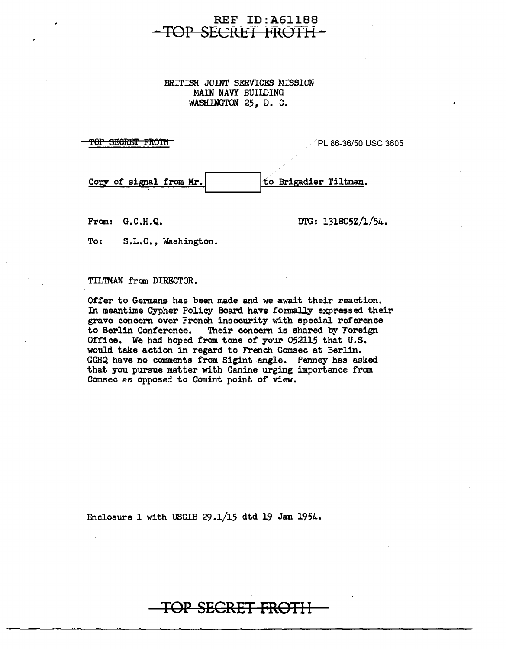# REF ID:A611BB SECRET FROTH-

### BRITISH JOINT SERVICES MISSION MAIN NAVY BUILDING WASHINGTON 25, D. C.

**''OP SECRET FROTH** PLANSIC AND PLANSIC 3605 POP SECRET PROTH Copy of signal from Mr. to Brigadier Tiltman.

From:  $G.C.H.Q.$  DTG:  $131805Z/1/54.$ 

To: S.L.O., Washington.

## TIL'IMAN from DIRECTOR.

Offer to Germans has been made and we await their reaction. In meantime Cypher Policy Board have fonnally expressed their grave concern over French insecurity with special reference<br>to Berlin Conference. Their concern is shared by Foreign Their concern is shared by Foreign Office. We had hoped from tone *of* your 052115 that U.S. would take action in regard to French Comsec at Berlin. GCHQ have no comments from Sigint angle. Penney has asked that you pursue matter with Canine urging importance from Comsec as opposed to Comint point *of* view.

Enclosure 1 with USCIB 29.1/15 dtd 19 Jan 1954.

# **TOP SECRET FROTl-i**